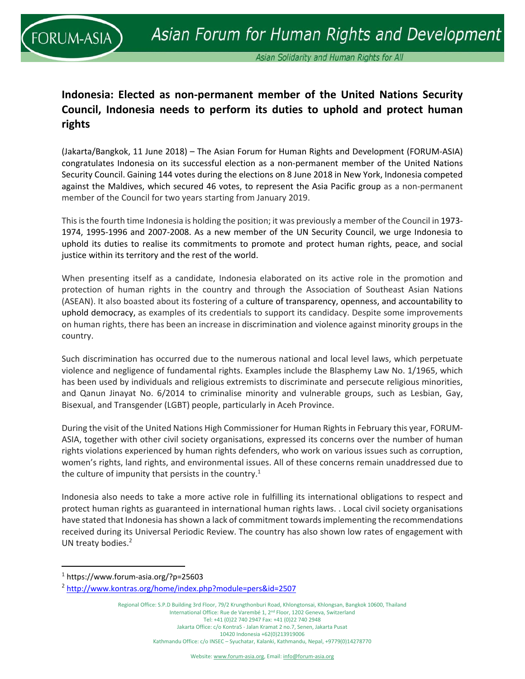

## **Indonesia: Elected as non‐permanent member of the United Nations Security Council, Indonesia needs to perform its duties to uphold and protect human rights**

(Jakarta/Bangkok, 11 June 2018) – The Asian Forum for Human Rights and Development (FORUM‐ASIA) congratulates Indonesia on its successful election as a non‐permanent member of the United Nations Security Council. Gaining 144 votes during the elections on 8 June 2018 in New York, Indonesia competed against the Maldives, which secured 46 votes, to represent the Asia Pacific group as a non‐permanent member of the Council for two years starting from January 2019.

This is the fourth time Indonesia is holding the position; it was previously a member of the Council in 1973‐ 1974, 1995‐1996 and 2007‐2008. As a new member of the UN Security Council, we urge Indonesia to uphold its duties to realise its commitments to promote and protect human rights, peace, and social justice within its territory and the rest of the world.

When presenting itself as a candidate, Indonesia elaborated on its active role in the promotion and protection of human rights in the country and through the Association of Southeast Asian Nations (ASEAN). It also boasted about its fostering of a culture of transparency, openness, and accountability to uphold democracy, as examples of its credentials to support its candidacy. Despite some improvements on human rights, there has been an increase in discrimination and violence against minority groups in the country.

Such discrimination has occurred due to the numerous national and local level laws, which perpetuate violence and negligence of fundamental rights. Examples include the Blasphemy Law No. 1/1965, which has been used by individuals and religious extremists to discriminate and persecute religious minorities, and Qanun Jinayat No. 6/2014 to criminalise minority and vulnerable groups, such as Lesbian, Gay, Bisexual, and Transgender (LGBT) people, particularly in Aceh Province.

During the visit of the United Nations High Commissioner for Human Rights in February this year, FORUM‐ ASIA, together with other civil society organisations, expressed its concerns over the number of human rights violations experienced by human rights defenders, who work on various issues such as corruption, women's rights, land rights, and environmental issues. All of these concerns remain unaddressed due to the culture of impunity that persists in the country.<sup>1</sup>

Indonesia also needs to take a more active role in fulfilling its international obligations to respect and protect human rights as guaranteed in international human rights laws. . Local civil society organisations have stated that Indonesia has shown a lack of commitment towards implementing the recommendations received during its Universal Periodic Review. The country has also shown low rates of engagement with UN treaty bodies. $2$ 

Regional Office: S.P.D Building 3rd Floor, 79/2 Krungthonburi Road, Khlongtonsai, Khlongsan, Bangkok 10600, Thailand International Office: Rue de Varembé 1, 2nd Floor, 1202 Geneva, Switzerland Tel: +41 (0)22 740 2947 Fax: +41 (0)22 740 2948 Jakarta Office: c/o KontraS ‐ Jalan Kramat 2 no.7, Senen, Jakarta Pusat 10420 Indonesia +62(0)213919006 Kathmandu Office: c/o INSEC – Syuchatar, Kalanki, Kathmandu, Nepal, +9779(0)14278770

<sup>1</sup> https://www.forum‐asia.org/?p=25603

<sup>2</sup> http://www.kontras.org/home/index.php?module=pers&id=2507